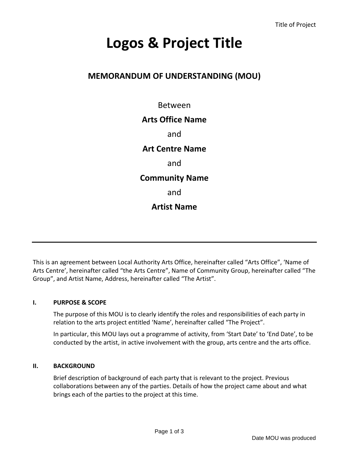# **Logos & Project Title**

## **MEMORANDUM OF UNDERSTANDING (MOU)**

Between

## **Arts Office Name**

and

**Art Centre Name**

and

### **Community Name**

and

## **Artist Name**

This is an agreement between Local Authority Arts Office, hereinafter called "Arts Office", 'Name of Arts Centre', hereinafter called "the Arts Centre", Name of Community Group, hereinafter called "The Group", and Artist Name, Address, hereinafter called "The Artist".

#### **I. PURPOSE & SCOPE**

The purpose of this MOU is to clearly identify the roles and responsibilities of each party in relation to the arts project entitled 'Name', hereinafter called "The Project".

In particular, this MOU lays out a programme of activity, from 'Start Date' to 'End Date', to be conducted by the artist, in active involvement with the group, arts centre and the arts office.

#### **II. BACKGROUND**

Brief description of background of each party that is relevant to the project. Previous collaborations between any of the parties. Details of how the project came about and what brings each of the parties to the project at this time.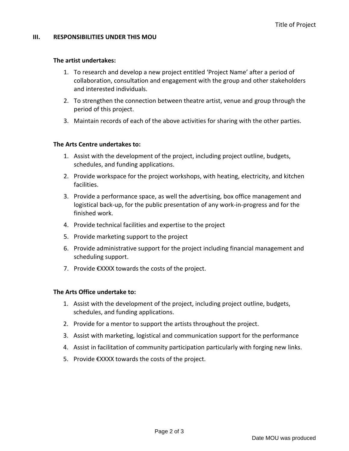#### **III. RESPONSIBILITIES UNDER THIS MOU**

#### **The artist undertakes:**

- 1. To research and develop a new project entitled 'Project Name' after a period of collaboration, consultation and engagement with the group and other stakeholders and interested individuals.
- 2. To strengthen the connection between theatre artist, venue and group through the period of this project.
- 3. Maintain records of each of the above activities for sharing with the other parties.

#### **The Arts Centre undertakes to:**

- 1. Assist with the development of the project, including project outline, budgets, schedules, and funding applications.
- 2. Provide workspace for the project workshops, with heating, electricity, and kitchen facilities.
- 3. Provide a performance space, as well the advertising, box office management and logistical back-up, for the public presentation of any work-in-progress and for the finished work.
- 4. Provide technical facilities and expertise to the project
- 5. Provide marketing support to the project
- 6. Provide administrative support for the project including financial management and scheduling support.
- 7. Provide €XXXX towards the costs of the project.

#### **The Arts Office undertake to:**

- 1. Assist with the development of the project, including project outline, budgets, schedules, and funding applications.
- 2. Provide for a mentor to support the artists throughout the project.
- 3. Assist with marketing, logistical and communication support for the performance
- 4. Assist in facilitation of community participation particularly with forging new links.
- 5. Provide €XXXX towards the costs of the project.